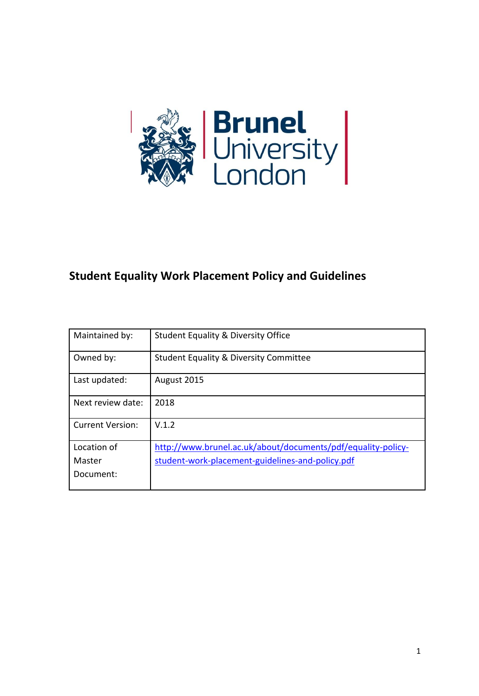

# **Student Equality Work Placement Policy and Guidelines**

| Maintained by:          | <b>Student Equality &amp; Diversity Office</b>               |
|-------------------------|--------------------------------------------------------------|
| Owned by:               | <b>Student Equality &amp; Diversity Committee</b>            |
| Last updated:           | August 2015                                                  |
| Next review date:       | 2018                                                         |
| <b>Current Version:</b> | V.1.2                                                        |
| Location of             | http://www.brunel.ac.uk/about/documents/pdf/equality-policy- |
| Master                  | student-work-placement-guidelines-and-policy.pdf             |
| Document:               |                                                              |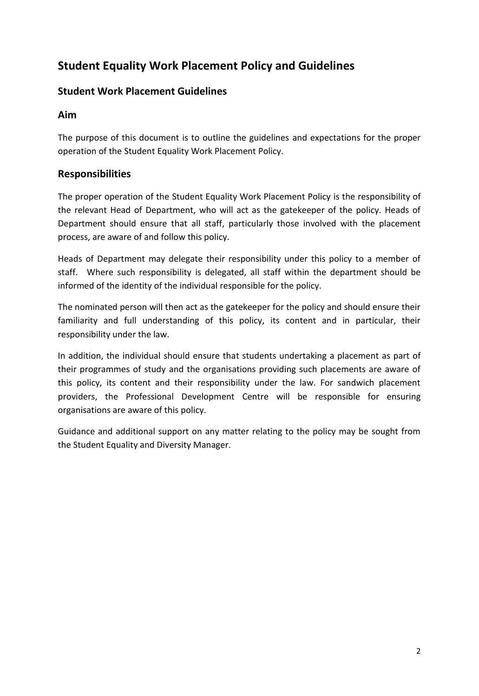# **Student Equality Work Placement Policy and Guidelines**

# **Student Work Placement Guidelines**

# **Aim**

The purpose of this document is to outline the guidelines and expectations for the proper operation of the Student Equality Work Placement Policy.

# **Responsibilities**

The proper operation of the Student Equality Work Placement Policy is the responsibility of the relevant Head of Department, who will act as the gatekeeper of the policy. Heads of Department should ensure that all staff, particularly those involved with the placement process, are aware of and follow this policy.

Heads of Department may delegate their responsibility under this policy to a member of staff. Where such responsibility is delegated, all staff within the department should be informed of the identity of the individual responsible for the policy.

The nominated person will then act as the gatekeeper for the policy and should ensure their familiarity and full understanding of this policy, its content and in particular, their responsibility under the law.

In addition, the individual should ensure that students undertaking a placement as part of their programmes of study and the organisations providing such placements are aware of this policy, its content and their responsibility under the law. For sandwich placement providers, the Professional Development Centre will be responsible for ensuring organisations are aware of this policy.

Guidance and additional support on any matter relating to the policy may be sought from the Student Equality and Diversity Manager.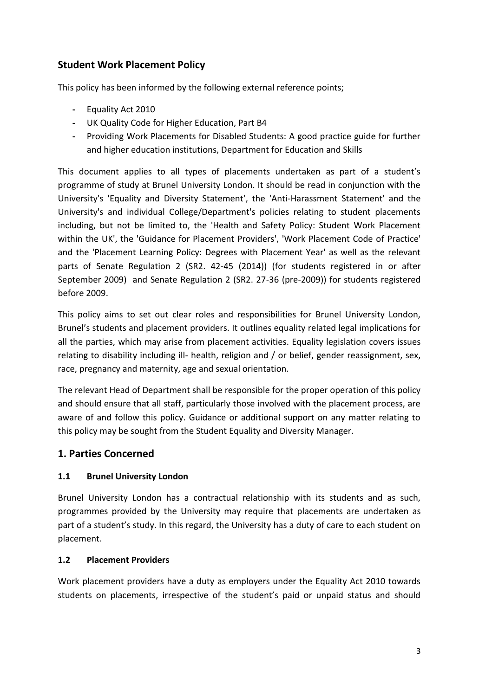# **Student Work Placement Policy**

This policy has been informed by the following external reference points;

- **-** Equality Act 2010
- **-** UK Quality Code for Higher Education, Part B4
- **-** Providing Work Placements for Disabled Students: A good practice guide for further and higher education institutions, Department for Education and Skills

This document applies to all types of placements undertaken as part of a student's programme of study at Brunel University London. It should be read in conjunction with the University's 'Equality and Diversity Statement', the 'Anti-Harassment Statement' and the University's and individual College/Department's policies relating to student placements including, but not be limited to, the 'Health and Safety Policy: Student Work Placement within the UK', the 'Guidance for Placement Providers', 'Work Placement Code of Practice' and the 'Placement Learning Policy: Degrees with Placement Year' as well as the relevant parts of Senate Regulation 2 (SR2. 42-45 (2014)) (for students registered in or after September 2009) and Senate Regulation 2 (SR2. 27-36 (pre-2009)) for students registered before 2009.

This policy aims to set out clear roles and responsibilities for Brunel University London, Brunel's students and placement providers. It outlines equality related legal implications for all the parties, which may arise from placement activities. Equality legislation covers issues relating to disability including ill- health, religion and / or belief, gender reassignment, sex, race, pregnancy and maternity, age and sexual orientation.

The relevant Head of Department shall be responsible for the proper operation of this policy and should ensure that all staff, particularly those involved with the placement process, are aware of and follow this policy. Guidance or additional support on any matter relating to this policy may be sought from the Student Equality and Diversity Manager.

# **1. Parties Concerned**

#### **1.1 Brunel University London**

Brunel University London has a contractual relationship with its students and as such, programmes provided by the University may require that placements are undertaken as part of a student's study. In this regard, the University has a duty of care to each student on placement.

#### **1.2 Placement Providers**

Work placement providers have a duty as employers under the Equality Act 2010 towards students on placements, irrespective of the student's paid or unpaid status and should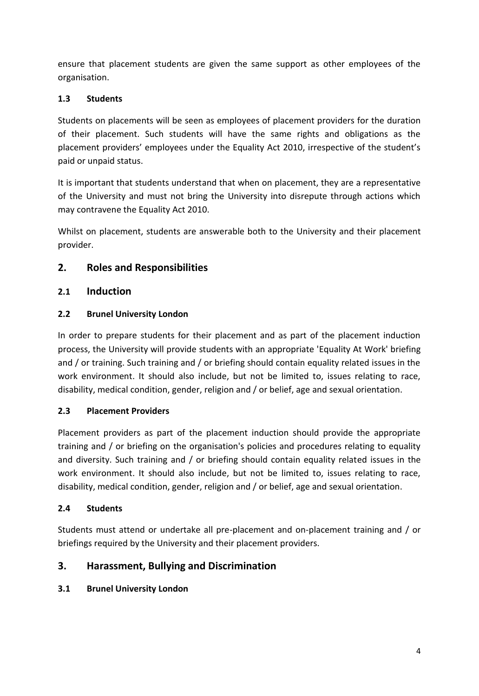ensure that placement students are given the same support as other employees of the organisation.

## **1.3 Students**

Students on placements will be seen as employees of placement providers for the duration of their placement. Such students will have the same rights and obligations as the placement providers' employees under the Equality Act 2010, irrespective of the student's paid or unpaid status.

It is important that students understand that when on placement, they are a representative of the University and must not bring the University into disrepute through actions which may contravene the Equality Act 2010.

Whilst on placement, students are answerable both to the University and their placement provider.

# **2. Roles and Responsibilities**

### **2.1 Induction**

#### **2.2 Brunel University London**

In order to prepare students for their placement and as part of the placement induction process, the University will provide students with an appropriate 'Equality At Work' briefing and / or training. Such training and / or briefing should contain equality related issues in the work environment. It should also include, but not be limited to, issues relating to race, disability, medical condition, gender, religion and / or belief, age and sexual orientation.

#### **2.3 Placement Providers**

Placement providers as part of the placement induction should provide the appropriate training and / or briefing on the organisation's policies and procedures relating to equality and diversity. Such training and / or briefing should contain equality related issues in the work environment. It should also include, but not be limited to, issues relating to race, disability, medical condition, gender, religion and / or belief, age and sexual orientation.

#### **2.4 Students**

Students must attend or undertake all pre-placement and on-placement training and / or briefings required by the University and their placement providers.

# **3. Harassment, Bullying and Discrimination**

# **3.1 Brunel University London**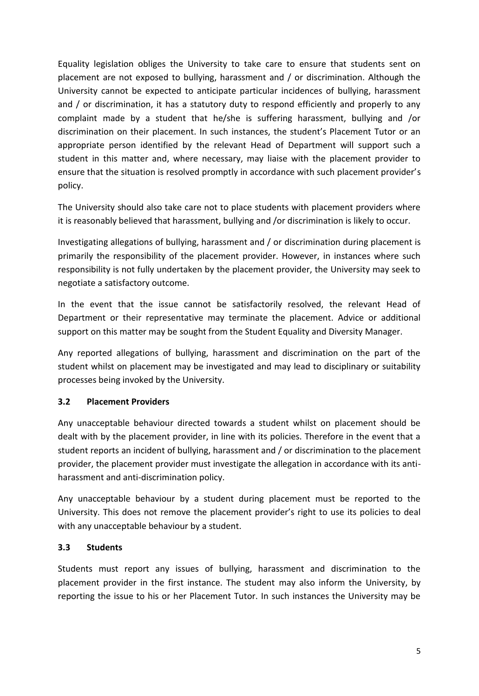Equality legislation obliges the University to take care to ensure that students sent on placement are not exposed to bullying, harassment and / or discrimination. Although the University cannot be expected to anticipate particular incidences of bullying, harassment and / or discrimination, it has a statutory duty to respond efficiently and properly to any complaint made by a student that he/she is suffering harassment, bullying and /or discrimination on their placement. In such instances, the student's Placement Tutor or an appropriate person identified by the relevant Head of Department will support such a student in this matter and, where necessary, may liaise with the placement provider to ensure that the situation is resolved promptly in accordance with such placement provider's policy.

The University should also take care not to place students with placement providers where it is reasonably believed that harassment, bullying and /or discrimination is likely to occur.

Investigating allegations of bullying, harassment and / or discrimination during placement is primarily the responsibility of the placement provider. However, in instances where such responsibility is not fully undertaken by the placement provider, the University may seek to negotiate a satisfactory outcome.

In the event that the issue cannot be satisfactorily resolved, the relevant Head of Department or their representative may terminate the placement. Advice or additional support on this matter may be sought from the Student Equality and Diversity Manager.

Any reported allegations of bullying, harassment and discrimination on the part of the student whilst on placement may be investigated and may lead to disciplinary or suitability processes being invoked by the University.

#### **3.2 Placement Providers**

Any unacceptable behaviour directed towards a student whilst on placement should be dealt with by the placement provider, in line with its policies. Therefore in the event that a student reports an incident of bullying, harassment and / or discrimination to the placement provider, the placement provider must investigate the allegation in accordance with its antiharassment and anti-discrimination policy.

Any unacceptable behaviour by a student during placement must be reported to the University. This does not remove the placement provider's right to use its policies to deal with any unacceptable behaviour by a student.

#### **3.3 Students**

Students must report any issues of bullying, harassment and discrimination to the placement provider in the first instance. The student may also inform the University, by reporting the issue to his or her Placement Tutor. In such instances the University may be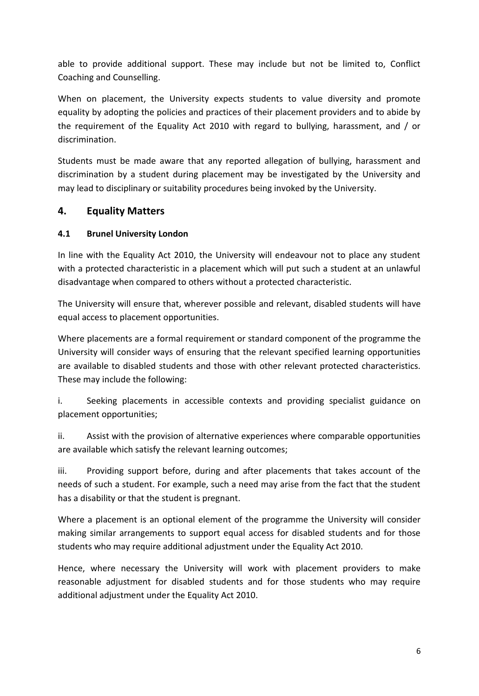able to provide additional support. These may include but not be limited to, Conflict Coaching and Counselling.

When on placement, the University expects students to value diversity and promote equality by adopting the policies and practices of their placement providers and to abide by the requirement of the Equality Act 2010 with regard to bullying, harassment, and / or discrimination.

Students must be made aware that any reported allegation of bullying, harassment and discrimination by a student during placement may be investigated by the University and may lead to disciplinary or suitability procedures being invoked by the University.

# **4. Equality Matters**

### **4.1 Brunel University London**

In line with the Equality Act 2010, the University will endeavour not to place any student with a protected characteristic in a placement which will put such a student at an unlawful disadvantage when compared to others without a protected characteristic.

The University will ensure that, wherever possible and relevant, disabled students will have equal access to placement opportunities.

Where placements are a formal requirement or standard component of the programme the University will consider ways of ensuring that the relevant specified learning opportunities are available to disabled students and those with other relevant protected characteristics. These may include the following:

i. Seeking placements in accessible contexts and providing specialist guidance on placement opportunities;

ii. Assist with the provision of alternative experiences where comparable opportunities are available which satisfy the relevant learning outcomes;

iii. Providing support before, during and after placements that takes account of the needs of such a student. For example, such a need may arise from the fact that the student has a disability or that the student is pregnant.

Where a placement is an optional element of the programme the University will consider making similar arrangements to support equal access for disabled students and for those students who may require additional adjustment under the Equality Act 2010.

Hence, where necessary the University will work with placement providers to make reasonable adjustment for disabled students and for those students who may require additional adjustment under the Equality Act 2010.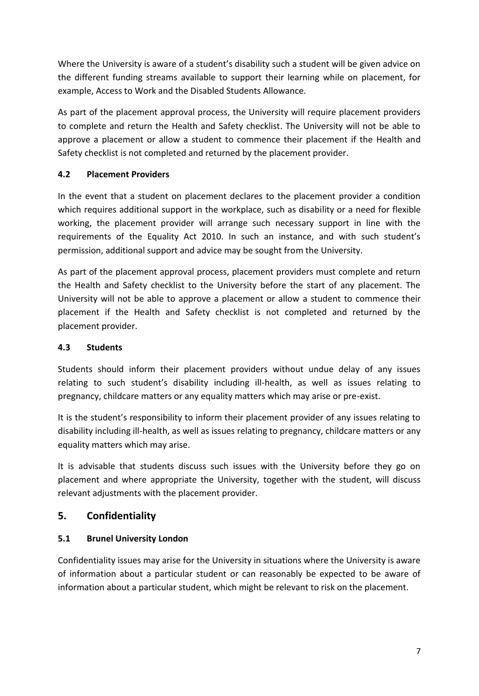Where the University is aware of a student's disability such a student will be given advice on the different funding streams available to support their learning while on placement, for example, Access to Work and the Disabled Students Allowance.

As part of the placement approval process, the University will require placement providers to complete and return the Health and Safety checklist. The University will not be able to approve a placement or allow a student to commence their placement if the Health and Safety checklist is not completed and returned by the placement provider.

# **4.2 Placement Providers**

In the event that a student on placement declares to the placement provider a condition which requires additional support in the workplace, such as disability or a need for flexible working, the placement provider will arrange such necessary support in line with the requirements of the Equality Act 2010. In such an instance, and with such student's permission, additional support and advice may be sought from the University.

As part of the placement approval process, placement providers must complete and return the Health and Safety checklist to the University before the start of any placement. The University will not be able to approve a placement or allow a student to commence their placement if the Health and Safety checklist is not completed and returned by the placement provider.

#### **4.3 Students**

Students should inform their placement providers without undue delay of any issues relating to such student's disability including ill-health, as well as issues relating to pregnancy, childcare matters or any equality matters which may arise or pre-exist.

It is the student's responsibility to inform their placement provider of any issues relating to disability including ill-health, as well as issues relating to pregnancy, childcare matters or any equality matters which may arise.

It is advisable that students discuss such issues with the University before they go on placement and where appropriate the University, together with the student, will discuss relevant adjustments with the placement provider.

# **5. Confidentiality**

# **5.1 Brunel University London**

Confidentiality issues may arise for the University in situations where the University is aware of information about a particular student or can reasonably be expected to be aware of information about a particular student, which might be relevant to risk on the placement.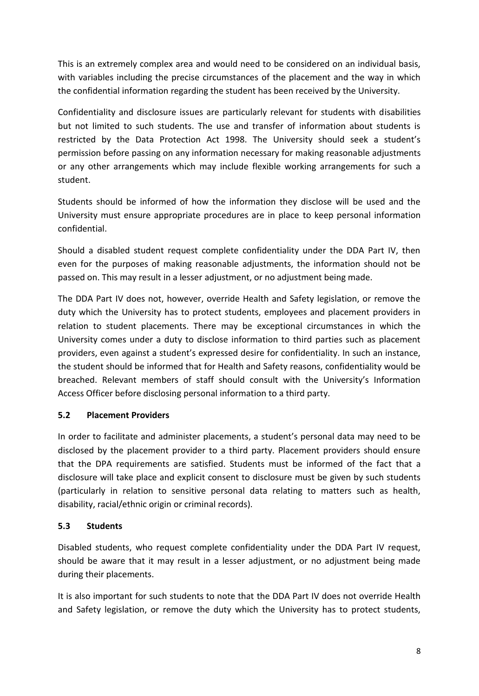This is an extremely complex area and would need to be considered on an individual basis, with variables including the precise circumstances of the placement and the way in which the confidential information regarding the student has been received by the University.

Confidentiality and disclosure issues are particularly relevant for students with disabilities but not limited to such students. The use and transfer of information about students is restricted by the Data Protection Act 1998. The University should seek a student's permission before passing on any information necessary for making reasonable adjustments or any other arrangements which may include flexible working arrangements for such a student.

Students should be informed of how the information they disclose will be used and the University must ensure appropriate procedures are in place to keep personal information confidential.

Should a disabled student request complete confidentiality under the DDA Part IV, then even for the purposes of making reasonable adjustments, the information should not be passed on. This may result in a lesser adjustment, or no adjustment being made.

The DDA Part IV does not, however, override Health and Safety legislation, or remove the duty which the University has to protect students, employees and placement providers in relation to student placements. There may be exceptional circumstances in which the University comes under a duty to disclose information to third parties such as placement providers, even against a student's expressed desire for confidentiality. In such an instance, the student should be informed that for Health and Safety reasons, confidentiality would be breached. Relevant members of staff should consult with the University's Information Access Officer before disclosing personal information to a third party.

#### **5.2 Placement Providers**

In order to facilitate and administer placements, a student's personal data may need to be disclosed by the placement provider to a third party. Placement providers should ensure that the DPA requirements are satisfied. Students must be informed of the fact that a disclosure will take place and explicit consent to disclosure must be given by such students (particularly in relation to sensitive personal data relating to matters such as health, disability, racial/ethnic origin or criminal records).

#### **5.3 Students**

Disabled students, who request complete confidentiality under the DDA Part IV request, should be aware that it may result in a lesser adjustment, or no adjustment being made during their placements.

It is also important for such students to note that the DDA Part IV does not override Health and Safety legislation, or remove the duty which the University has to protect students,